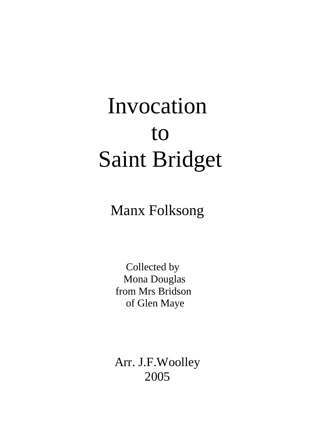## Invocation to Saint Bridget

Manx Folksong

 Collected by Mona Douglas from Mrs Bridson of Glen Maye

Arr. J.F.Woolley 2005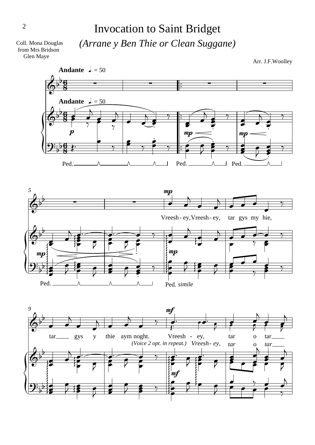## Invocation to Saint Bridget *(Arrane y Ben Thie or Clean Suggane)*

Coll. Mona Douglas from Mrs Bridson Glen Maye

Arr. J.F.Woolley